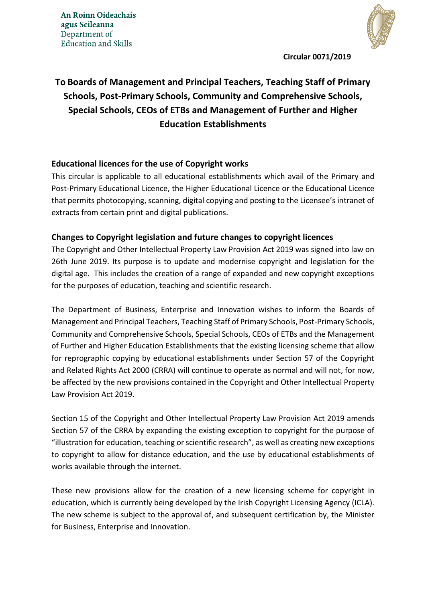**An Roinn Oideachais** agus Scileanna Department of **Education and Skills** 



**Circular 0071/2019**

# **To Boards of Management and Principal Teachers, Teaching Staff of Primary Schools, Post-Primary Schools, Community and Comprehensive Schools, Special Schools, CEOs of ETBs and Management of Further and Higher Education Establishments**

### **Educational licences for the use of Copyright works**

This circular is applicable to all educational establishments which avail of the Primary and Post-Primary Educational Licence, the Higher Educational Licence or the Educational Licence that permits photocopying, scanning, digital copying and posting to the Licensee's intranet of extracts from certain print and digital publications.

### **Changes to Copyright legislation and future changes to copyright licences**

The Copyright and Other Intellectual Property Law Provision Act 2019 was signed into law on 26th June 2019. Its purpose is to update and modernise copyright and legislation for the digital age. This includes the creation of a range of expanded and new copyright exceptions for the purposes of education, teaching and scientific research.

The Department of Business, Enterprise and Innovation wishes to inform the Boards of Management and Principal Teachers, Teaching Staff of Primary Schools, Post-Primary Schools, Community and Comprehensive Schools, Special Schools, CEOs of ETBs and the Management of Further and Higher Education Establishments that the existing licensing scheme that allow for reprographic copying by educational establishments under Section 57 of the Copyright and Related Rights Act 2000 (CRRA) will continue to operate as normal and will not, for now, be affected by the new provisions contained in the Copyright and Other Intellectual Property Law Provision Act 2019.

Section 15 of the Copyright and Other Intellectual Property Law Provision Act 2019 amends Section 57 of the CRRA by expanding the existing exception to copyright for the purpose of "illustration for education, teaching or scientific research", as well as creating new exceptions to copyright to allow for distance education, and the use by educational establishments of works available through the internet.

These new provisions allow for the creation of a new licensing scheme for copyright in education, which is currently being developed by the Irish Copyright Licensing Agency (ICLA). The new scheme is subject to the approval of, and subsequent certification by, the Minister for Business, Enterprise and Innovation.